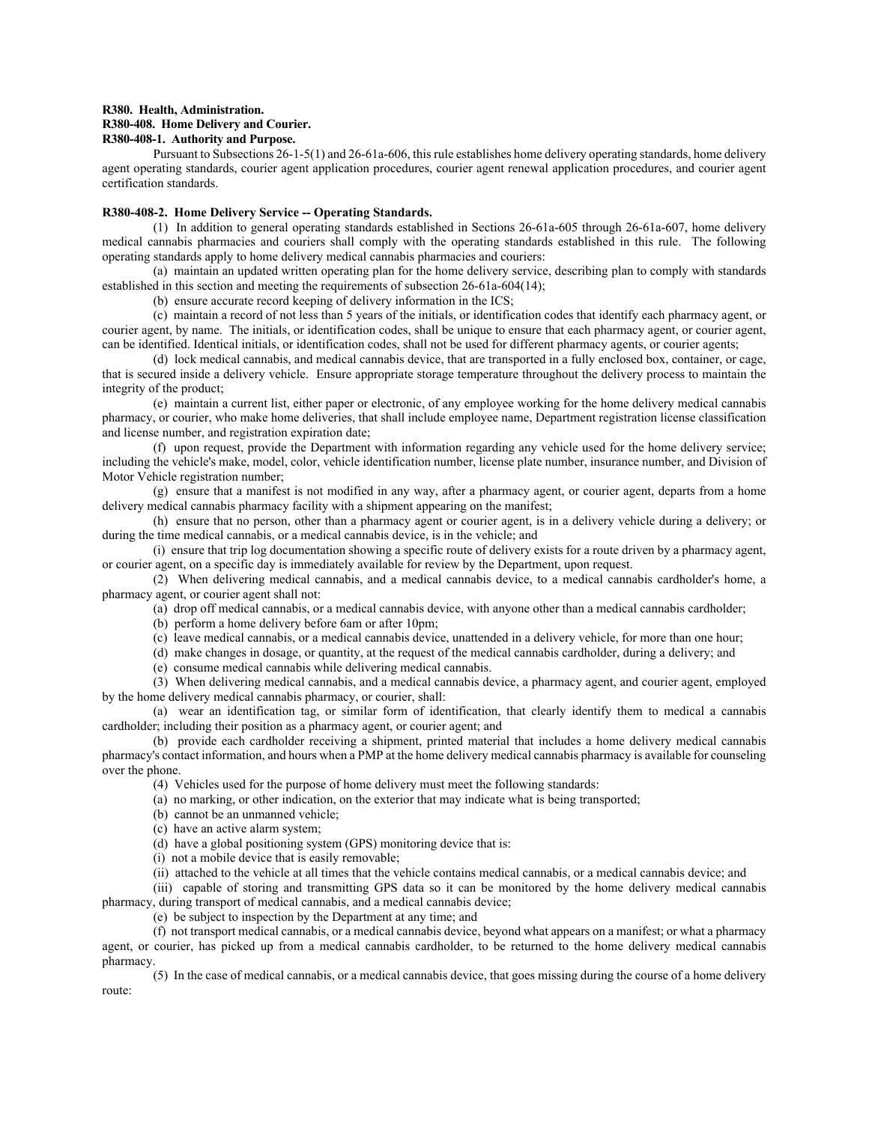# **R380. Health, Administration. R380-408. Home Delivery and Courier.**

### **R380-408-1. Authority and Purpose.**

Pursuant to Subsections 26-1-5(1) and 26-61a-606, this rule establishes home delivery operating standards, home delivery agent operating standards, courier agent application procedures, courier agent renewal application procedures, and courier agent certification standards.

#### **R380-408-2. Home Delivery Service -- Operating Standards.**

(1) In addition to general operating standards established in Sections 26-61a-605 through 26-61a-607, home delivery medical cannabis pharmacies and couriers shall comply with the operating standards established in this rule. The following operating standards apply to home delivery medical cannabis pharmacies and couriers:

(a) maintain an updated written operating plan for the home delivery service, describing plan to comply with standards established in this section and meeting the requirements of subsection 26-61a-604(14);

(b) ensure accurate record keeping of delivery information in the ICS;

(c) maintain a record of not less than 5 years of the initials, or identification codes that identify each pharmacy agent, or courier agent, by name. The initials, or identification codes, shall be unique to ensure that each pharmacy agent, or courier agent, can be identified. Identical initials, or identification codes, shall not be used for different pharmacy agents, or courier agents;

(d) lock medical cannabis, and medical cannabis device, that are transported in a fully enclosed box, container, or cage, that is secured inside a delivery vehicle. Ensure appropriate storage temperature throughout the delivery process to maintain the integrity of the product;

(e) maintain a current list, either paper or electronic, of any employee working for the home delivery medical cannabis pharmacy, or courier, who make home deliveries, that shall include employee name, Department registration license classification and license number, and registration expiration date;

(f) upon request, provide the Department with information regarding any vehicle used for the home delivery service; including the vehicle's make, model, color, vehicle identification number, license plate number, insurance number, and Division of Motor Vehicle registration number;

(g) ensure that a manifest is not modified in any way, after a pharmacy agent, or courier agent, departs from a home delivery medical cannabis pharmacy facility with a shipment appearing on the manifest;

(h) ensure that no person, other than a pharmacy agent or courier agent, is in a delivery vehicle during a delivery; or during the time medical cannabis, or a medical cannabis device, is in the vehicle; and

(i) ensure that trip log documentation showing a specific route of delivery exists for a route driven by a pharmacy agent, or courier agent, on a specific day is immediately available for review by the Department, upon request.

(2) When delivering medical cannabis, and a medical cannabis device, to a medical cannabis cardholder's home, a pharmacy agent, or courier agent shall not:

(a) drop off medical cannabis, or a medical cannabis device, with anyone other than a medical cannabis cardholder;

- (b) perform a home delivery before 6am or after 10pm;
- (c) leave medical cannabis, or a medical cannabis device, unattended in a delivery vehicle, for more than one hour;
- (d) make changes in dosage, or quantity, at the request of the medical cannabis cardholder, during a delivery; and
- (e) consume medical cannabis while delivering medical cannabis.

(3) When delivering medical cannabis, and a medical cannabis device, a pharmacy agent, and courier agent, employed by the home delivery medical cannabis pharmacy, or courier, shall:

(a) wear an identification tag, or similar form of identification, that clearly identify them to medical a cannabis cardholder; including their position as a pharmacy agent, or courier agent; and

(b) provide each cardholder receiving a shipment, printed material that includes a home delivery medical cannabis pharmacy's contact information, and hours when a PMP at the home delivery medical cannabis pharmacy is available for counseling over the phone.

(4) Vehicles used for the purpose of home delivery must meet the following standards:

(a) no marking, or other indication, on the exterior that may indicate what is being transported;

(b) cannot be an unmanned vehicle;

(c) have an active alarm system;

(d) have a global positioning system (GPS) monitoring device that is:

(i) not a mobile device that is easily removable;

(ii) attached to the vehicle at all times that the vehicle contains medical cannabis, or a medical cannabis device; and

(iii) capable of storing and transmitting GPS data so it can be monitored by the home delivery medical cannabis pharmacy, during transport of medical cannabis, and a medical cannabis device;

(e) be subject to inspection by the Department at any time; and

(f) not transport medical cannabis, or a medical cannabis device, beyond what appears on a manifest; or what a pharmacy agent, or courier, has picked up from a medical cannabis cardholder, to be returned to the home delivery medical cannabis pharmacy.

(5) In the case of medical cannabis, or a medical cannabis device, that goes missing during the course of a home delivery route: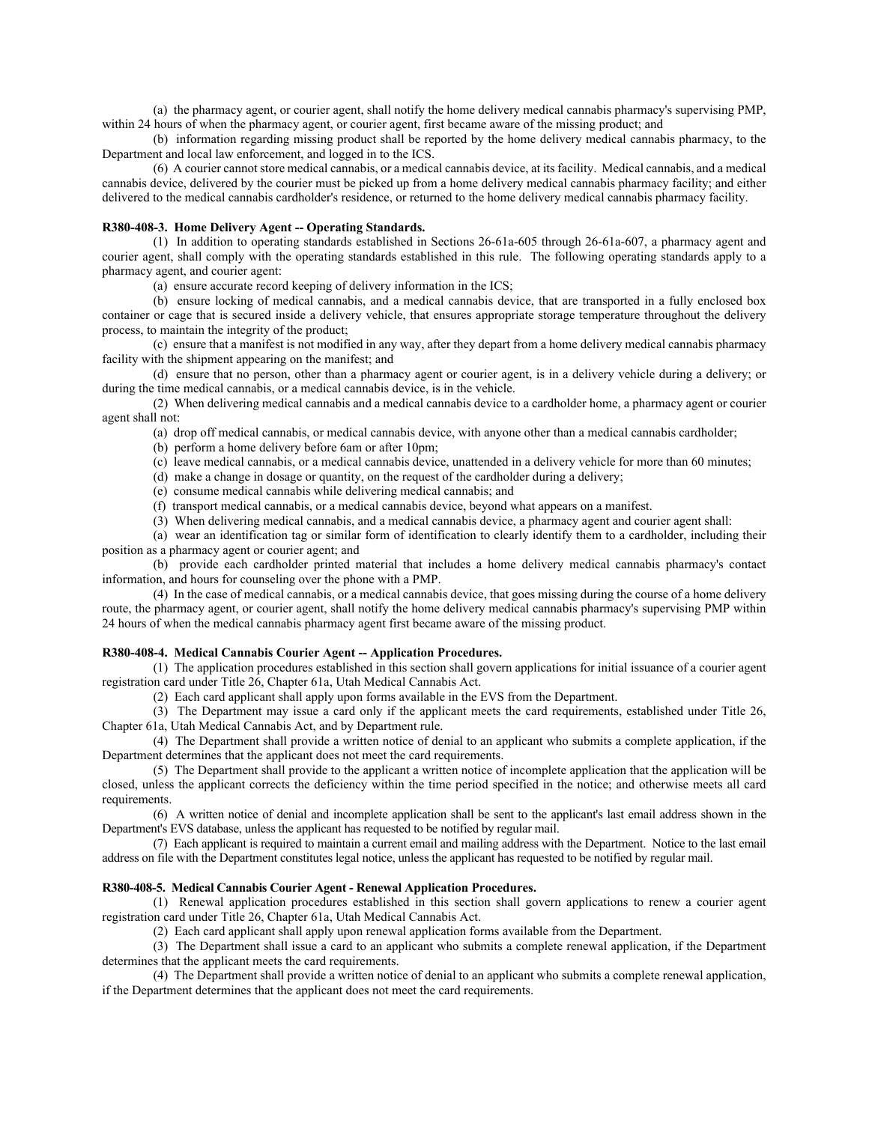(a) the pharmacy agent, or courier agent, shall notify the home delivery medical cannabis pharmacy's supervising PMP, within 24 hours of when the pharmacy agent, or courier agent, first became aware of the missing product; and

(b) information regarding missing product shall be reported by the home delivery medical cannabis pharmacy, to the Department and local law enforcement, and logged in to the ICS.

(6) A courier cannot store medical cannabis, or a medical cannabis device, at its facility. Medical cannabis, and a medical cannabis device, delivered by the courier must be picked up from a home delivery medical cannabis pharmacy facility; and either delivered to the medical cannabis cardholder's residence, or returned to the home delivery medical cannabis pharmacy facility.

#### **R380-408-3. Home Delivery Agent -- Operating Standards.**

(1) In addition to operating standards established in Sections 26-61a-605 through 26-61a-607, a pharmacy agent and courier agent, shall comply with the operating standards established in this rule. The following operating standards apply to a pharmacy agent, and courier agent:

(a) ensure accurate record keeping of delivery information in the ICS;

(b) ensure locking of medical cannabis, and a medical cannabis device, that are transported in a fully enclosed box container or cage that is secured inside a delivery vehicle, that ensures appropriate storage temperature throughout the delivery process, to maintain the integrity of the product;

(c) ensure that a manifest is not modified in any way, after they depart from a home delivery medical cannabis pharmacy facility with the shipment appearing on the manifest; and

(d) ensure that no person, other than a pharmacy agent or courier agent, is in a delivery vehicle during a delivery; or during the time medical cannabis, or a medical cannabis device, is in the vehicle.

(2) When delivering medical cannabis and a medical cannabis device to a cardholder home, a pharmacy agent or courier agent shall not:

(a) drop off medical cannabis, or medical cannabis device, with anyone other than a medical cannabis cardholder;

(b) perform a home delivery before 6am or after 10pm;

(c) leave medical cannabis, or a medical cannabis device, unattended in a delivery vehicle for more than 60 minutes;

(d) make a change in dosage or quantity, on the request of the cardholder during a delivery;

(e) consume medical cannabis while delivering medical cannabis; and

(f) transport medical cannabis, or a medical cannabis device, beyond what appears on a manifest.

(3) When delivering medical cannabis, and a medical cannabis device, a pharmacy agent and courier agent shall:

(a) wear an identification tag or similar form of identification to clearly identify them to a cardholder, including their position as a pharmacy agent or courier agent; and

(b) provide each cardholder printed material that includes a home delivery medical cannabis pharmacy's contact information, and hours for counseling over the phone with a PMP.

(4) In the case of medical cannabis, or a medical cannabis device, that goes missing during the course of a home delivery route, the pharmacy agent, or courier agent, shall notify the home delivery medical cannabis pharmacy's supervising PMP within 24 hours of when the medical cannabis pharmacy agent first became aware of the missing product.

### **R380-408-4. Medical Cannabis Courier Agent -- Application Procedures.**

(1) The application procedures established in this section shall govern applications for initial issuance of a courier agent registration card under Title 26, Chapter 61a, Utah Medical Cannabis Act.

(2) Each card applicant shall apply upon forms available in the EVS from the Department.

(3) The Department may issue a card only if the applicant meets the card requirements, established under Title 26, Chapter 61a, Utah Medical Cannabis Act, and by Department rule.

(4) The Department shall provide a written notice of denial to an applicant who submits a complete application, if the Department determines that the applicant does not meet the card requirements.

(5) The Department shall provide to the applicant a written notice of incomplete application that the application will be closed, unless the applicant corrects the deficiency within the time period specified in the notice; and otherwise meets all card requirements.

(6) A written notice of denial and incomplete application shall be sent to the applicant's last email address shown in the Department's EVS database, unless the applicant has requested to be notified by regular mail.

(7) Each applicant is required to maintain a current email and mailing address with the Department. Notice to the last email address on file with the Department constitutes legal notice, unless the applicant has requested to be notified by regular mail.

## **R380-408-5. Medical Cannabis Courier Agent - Renewal Application Procedures.**

(1) Renewal application procedures established in this section shall govern applications to renew a courier agent registration card under Title 26, Chapter 61a, Utah Medical Cannabis Act.

(2) Each card applicant shall apply upon renewal application forms available from the Department.

(3) The Department shall issue a card to an applicant who submits a complete renewal application, if the Department determines that the applicant meets the card requirements.

(4) The Department shall provide a written notice of denial to an applicant who submits a complete renewal application, if the Department determines that the applicant does not meet the card requirements.